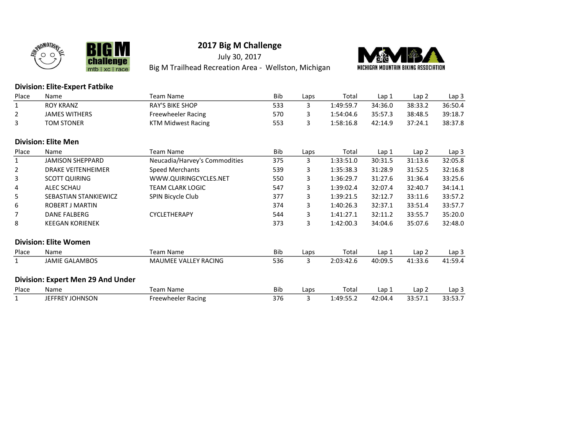



Big M Trailhead Recreation Area - Wellston, Michigan



#### Division: Elite-Expert Fatbike

**BIGM** 

mtb | xc | race

**lenge** 

cha

| Place          | Name                              | <b>Team Name</b>              | <b>Bib</b> | Laps | Total     | Lap 1   | Lap 2   | Lap <sub>3</sub> |
|----------------|-----------------------------------|-------------------------------|------------|------|-----------|---------|---------|------------------|
| $\mathbf{1}$   | <b>ROY KRANZ</b>                  | <b>RAY'S BIKE SHOP</b>        | 533        | 3    | 1:49:59.7 | 34:36.0 | 38:33.2 | 36:50.4          |
| $\overline{2}$ | <b>JAMES WITHERS</b>              | Freewheeler Racing            | 570        | 3    | 1:54:04.6 | 35:57.3 | 38:48.5 | 39:18.7          |
| 3              | <b>TOM STONER</b>                 | <b>KTM Midwest Racing</b>     | 553        | 3    | 1:58:16.8 | 42:14.9 | 37:24.1 | 38:37.8          |
|                | <b>Division: Elite Men</b>        |                               |            |      |           |         |         |                  |
| Place          | Name                              | <b>Team Name</b>              | Bib        | Laps | Total     | Lap 1   | Lap 2   | Lap 3            |
| $\mathbf{1}$   | <b>JAMISON SHEPPARD</b>           | Neucadia/Harvey's Commodities | 375        | 3    | 1:33:51.0 | 30:31.5 | 31:13.6 | 32:05.8          |
| $\overline{2}$ | <b>DRAKE VEITENHEIMER</b>         | Speed Merchants               | 539        | 3    | 1:35:38.3 | 31:28.9 | 31:52.5 | 32:16.8          |
| 3              | <b>SCOTT QUIRING</b>              | WWW.QUIRINGCYCLES.NET         | 550        | 3    | 1:36:29.7 | 31:27.6 | 31:36.4 | 33:25.6          |
| 4              | ALEC SCHAU                        | <b>TEAM CLARK LOGIC</b>       | 547        | 3    | 1:39:02.4 | 32:07.4 | 32:40.7 | 34:14.1          |
| 5              | <b>SEBASTIAN STANKIEWICZ</b>      | SPIN Bicycle Club             | 377        | 3    | 1:39:21.5 | 32:12.7 | 33:11.6 | 33:57.2          |
| 6              | <b>ROBERT J MARTIN</b>            |                               | 374        | 3    | 1:40:26.3 | 32:37.1 | 33:51.4 | 33:57.7          |
| 7              | DANE FALBERG                      | CYCLETHERAPY                  | 544        | 3    | 1:41:27.1 | 32:11.2 | 33:55.7 | 35:20.0          |
| 8              | <b>KEEGAN KORIENEK</b>            |                               | 373        | 3    | 1:42:00.3 | 34:04.6 | 35:07.6 | 32:48.0          |
|                | <b>Division: Elite Women</b>      |                               |            |      |           |         |         |                  |
| Place          | Name                              | <b>Team Name</b>              | Bib        | Laps | Total     | Lap 1   | Lap 2   | Lap 3            |
| $\mathbf{1}$   | <b>JAMIE GALAMBOS</b>             | MAUMEE VALLEY RACING          | 536        | 3    | 2:03:42.6 | 40:09.5 | 41:33.6 | 41:59.4          |
|                | Division: Expert Men 29 And Under |                               |            |      |           |         |         |                  |
| Place          | Name                              | <b>Team Name</b>              | Bib        | Laps | Total     | Lap 1   | Lap 2   | Lap 3            |
| $\mathbf{1}$   | JEFFREY JOHNSON                   | Freewheeler Racing            | 376        | 3    | 1:49:55.2 | 42:04.4 | 33:57.1 | 33:53.7          |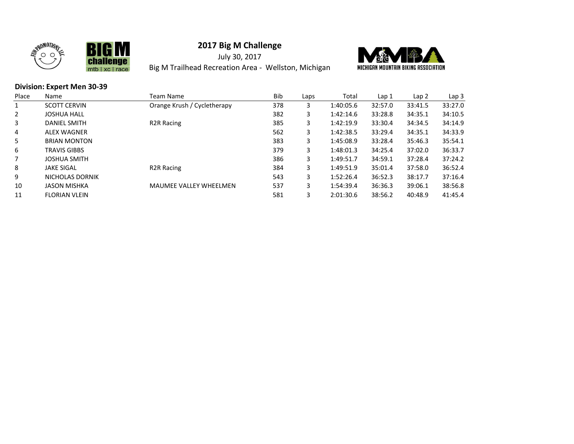



July 30, 2017 Big M Trailhead Recreation Area - Wellston, Michigan



#### Division: Expert Men 30-39

| Place | Name                 | Team Name                     | <b>Bib</b> | Laps | Total     | Lap <sub>1</sub> | Lap <sub>2</sub> | Lap <sub>3</sub> |
|-------|----------------------|-------------------------------|------------|------|-----------|------------------|------------------|------------------|
|       | <b>SCOTT CERVIN</b>  | Orange Krush / Cycletherapy   | 378        | 3    | 1:40:05.6 | 32:57.0          | 33:41.5          | 33:27.0          |
| 2     | <b>JOSHUA HALL</b>   |                               | 382        | 3    | 1:42:14.6 | 33:28.8          | 34:35.1          | 34:10.5          |
| 3     | DANIEL SMITH         | R <sub>2</sub> R Racing       | 385        | 3    | 1:42:19.9 | 33:30.4          | 34:34.5          | 34:14.9          |
| 4     | ALEX WAGNER          |                               | 562        | 3    | 1:42:38.5 | 33:29.4          | 34:35.1          | 34:33.9          |
| 5     | <b>BRIAN MONTON</b>  |                               | 383        | 3    | 1:45:08.9 | 33:28.4          | 35:46.3          | 35:54.1          |
| 6     | <b>TRAVIS GIBBS</b>  |                               | 379        | 3    | 1:48:01.3 | 34:25.4          | 37:02.0          | 36:33.7          |
|       | <b>JOSHUA SMITH</b>  |                               | 386        | 3    | 1:49:51.7 | 34:59.1          | 37:28.4          | 37:24.2          |
| 8     | <b>JAKE SIGAL</b>    | R <sub>2</sub> R Racing       | 384        | 3    | 1:49:51.9 | 35:01.4          | 37:58.0          | 36:52.4          |
| 9     | NICHOLAS DORNIK      |                               | 543        | 3    | 1:52:26.4 | 36:52.3          | 38:17.7          | 37:16.4          |
| 10    | JASON MISHKA         | <b>MAUMEE VALLEY WHEELMEN</b> | 537        | 3    | 1:54:39.4 | 36:36.3          | 39:06.1          | 38:56.8          |
| 11    | <b>FLORIAN VLEIN</b> |                               | 581        | 3    | 2:01:30.6 | 38:56.2          | 40:48.9          | 41:45.4          |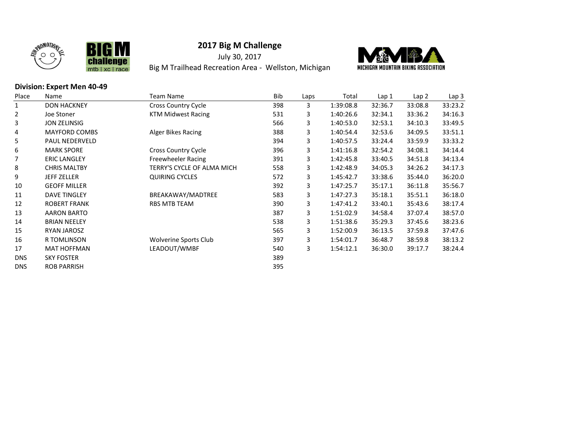



July 30, 2017 Big M Trailhead Recreation Area - Wellston, Michigan



#### Division: Expert Men 40-49

| Place      | Name                  | <b>Team Name</b>           | Bib | Laps | Total     | Lap 1   | Lap 2   | Lap 3   |
|------------|-----------------------|----------------------------|-----|------|-----------|---------|---------|---------|
|            | <b>DON HACKNEY</b>    | <b>Cross Country Cycle</b> | 398 | 3    | 1:39:08.8 | 32:36.7 | 33:08.8 | 33:23.2 |
| 2          | Joe Stoner            | KTM Midwest Racing         | 531 | 3    | 1:40:26.6 | 32:34.1 | 33:36.2 | 34:16.3 |
| 3          | <b>JON ZELINSIG</b>   |                            | 566 | 3    | 1:40:53.0 | 32:53.1 | 34:10.3 | 33:49.5 |
| 4          | <b>MAYFORD COMBS</b>  | Alger Bikes Racing         | 388 | 3    | 1:40:54.4 | 32:53.6 | 34:09.5 | 33:51.1 |
| 5          | <b>PAUL NEDERVELD</b> |                            | 394 | 3    | 1:40:57.5 | 33:24.4 | 33:59.9 | 33:33.2 |
| 6          | <b>MARK SPORE</b>     | <b>Cross Country Cycle</b> | 396 | 3    | 1:41:16.8 | 32:54.2 | 34:08.1 | 34:14.4 |
|            | <b>ERIC LANGLEY</b>   | Freewheeler Racing         | 391 | 3    | 1:42:45.8 | 33:40.5 | 34:51.8 | 34:13.4 |
| 8          | <b>CHRIS MALTBY</b>   | TERRY'S CYCLE OF ALMA MICH | 558 | 3    | 1:42:48.9 | 34:05.3 | 34:26.2 | 34:17.3 |
| 9          | <b>JEFF ZELLER</b>    | <b>QUIRING CYCLES</b>      | 572 | 3    | 1:45:42.7 | 33:38.6 | 35:44.0 | 36:20.0 |
| 10         | <b>GEOFF MILLER</b>   |                            | 392 | 3    | 1:47:25.7 | 35:17.1 | 36:11.8 | 35:56.7 |
| 11         | <b>DAVE TINGLEY</b>   | BREAKAWAY/MADTREE          | 583 | 3    | 1:47:27.3 | 35:18.1 | 35:51.1 | 36:18.0 |
| 12         | <b>ROBERT FRANK</b>   | RBS MTB TEAM               | 390 | 3    | 1:47:41.2 | 33:40.1 | 35:43.6 | 38:17.4 |
| 13         | <b>AARON BARTO</b>    |                            | 387 | 3    | 1:51:02.9 | 34:58.4 | 37:07.4 | 38:57.0 |
| 14         | <b>BRIAN NEELEY</b>   |                            | 538 | 3    | 1:51:38.6 | 35:29.3 | 37:45.6 | 38:23.6 |
| 15         | <b>RYAN JAROSZ</b>    |                            | 565 | 3    | 1:52:00.9 | 36:13.5 | 37:59.8 | 37:47.6 |
| 16         | <b>R TOMLINSON</b>    | Wolverine Sports Club      | 397 | 3    | 1:54:01.7 | 36:48.7 | 38:59.8 | 38:13.2 |
| 17         | <b>MAT HOFFMAN</b>    | LEADOUT/WMBF               | 540 | 3    | 1:54:12.1 | 36:30.0 | 39:17.7 | 38:24.4 |
| <b>DNS</b> | <b>SKY FOSTER</b>     |                            | 389 |      |           |         |         |         |
| <b>DNS</b> | <b>ROB PARRISH</b>    |                            | 395 |      |           |         |         |         |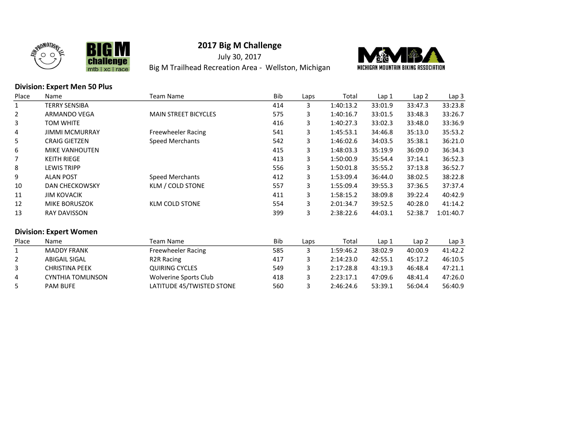



July 30, 2017 Big M Trailhead Recreation Area - Wellston, Michigan



#### Division: Expert Men 50 Plus

| Place        | Name                          | <b>Team Name</b>             | Bib | Laps | Total     | Lap 1   | Lap <sub>2</sub> | Lap <sub>3</sub> |
|--------------|-------------------------------|------------------------------|-----|------|-----------|---------|------------------|------------------|
| $\mathbf{1}$ | TERRY SENSIBA                 |                              | 414 | 3    | 1:40:13.2 | 33:01.9 | 33:47.3          | 33:23.8          |
| 2            | ARMANDO VEGA                  | <b>MAIN STREET BICYCLES</b>  | 575 | 3    | 1:40:16.7 | 33:01.5 | 33:48.3          | 33:26.7          |
| 3            | <b>TOM WHITE</b>              |                              | 416 | 3    | 1:40:27.3 | 33:02.3 | 33:48.0          | 33:36.9          |
| 4            | <b>JIMMI MCMURRAY</b>         | Freewheeler Racing           | 541 | 3    | 1:45:53.1 | 34:46.8 | 35:13.0          | 35:53.2          |
| 5            | <b>CRAIG GIETZEN</b>          | Speed Merchants              | 542 | 3    | 1:46:02.6 | 34:03.5 | 35:38.1          | 36:21.0          |
| 6            | <b>MIKE VANHOUTEN</b>         |                              | 415 | 3    | 1:48:03.3 | 35:19.9 | 36:09.0          | 36:34.3          |
| 7            | <b>KEITH RIEGE</b>            |                              | 413 | 3    | 1:50:00.9 | 35:54.4 | 37:14.1          | 36:52.3          |
| 8            | <b>LEWIS TRIPP</b>            |                              | 556 | 3    | 1:50:01.8 | 35:55.2 | 37:13.8          | 36:52.7          |
| 9            | <b>ALAN POST</b>              | <b>Speed Merchants</b>       | 412 | 3    | 1:53:09.4 | 36:44.0 | 38:02.5          | 38:22.8          |
| 10           | <b>DAN CHECKOWSKY</b>         | KLM / COLD STONE             | 557 | 3    | 1:55:09.4 | 39:55.3 | 37:36.5          | 37:37.4          |
| 11           | <b>JIM KOVACIK</b>            |                              | 411 | 3    | 1:58:15.2 | 38:09.8 | 39:22.4          | 40:42.9          |
| 12           | MIKE BORUSZOK                 | <b>KLM COLD STONE</b>        | 554 | 3    | 2:01:34.7 | 39:52.5 | 40:28.0          | 41:14.2          |
| 13           | <b>RAY DAVISSON</b>           |                              | 399 | 3    | 2:38:22.6 | 44:03.1 | 52:38.7          | 1:01:40.7        |
|              | <b>Division: Expert Women</b> |                              |     |      |           |         |                  |                  |
| Place        | Name                          | <b>Team Name</b>             | Bib | Laps | Total     | Lap 1   | Lap 2            | Lap 3            |
|              | <b>MADDY FRANK</b>            | Freewheeler Racing           | 585 | 3    | 1:59:46.2 | 38:02.9 | 40:00.9          | 41:42.2          |
| 2            | <b>ABIGAIL SIGAL</b>          | R <sub>2</sub> R Racing      | 417 | 3    | 2:14:23.0 | 42:55.1 | 45:17.2          | 46:10.5          |
| 3            | <b>CHRISTINA PEEK</b>         | <b>QUIRING CYCLES</b>        | 549 | 3    | 2:17:28.8 | 43:19.3 | 46:48.4          | 47:21.1          |
| 4            | <b>CYNTHIA TOMLINSON</b>      | <b>Wolverine Sports Club</b> | 418 | 3    | 2:23:17.1 | 47:09.6 | 48:41.4          | 47:26.0          |
| 5            | PAM BUFE                      | LATITUDE 45/TWISTED STONE    | 560 | 3    | 2:46:24.6 | 53:39.1 | 56:04.4          | 56:40.9          |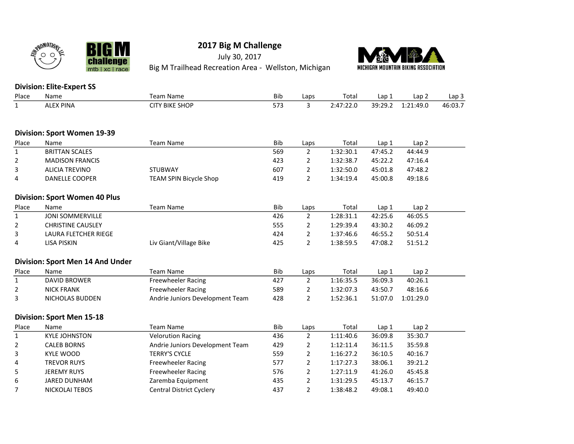

**BIGM** 

mtb | xc | race

**llenge** 

chal

# 2017 Big M Challenge

July 30, 2017 Big M Trailhead Recreation Area - Wellston, Michigan



### Division: Elite-Expert SS

| Place          | Name                                 | <b>Team Name</b>                | <b>Bib</b> | Laps           | Total     | Lap <sub>1</sub> | Lap <sub>2</sub> | Lap <sub>3</sub> |
|----------------|--------------------------------------|---------------------------------|------------|----------------|-----------|------------------|------------------|------------------|
| $\mathbf{1}$   | <b>ALEX PINA</b>                     | <b>CITY BIKE SHOP</b>           | 573        | 3              | 2:47:22.0 | 39:29.2          | 1:21:49.0        | 46:03.7          |
|                |                                      |                                 |            |                |           |                  |                  |                  |
|                | Division: Sport Women 19-39          |                                 |            |                |           |                  |                  |                  |
| Place          | Name                                 | <b>Team Name</b>                | <b>Bib</b> | Laps           | Total     | Lap 1            | Lap <sub>2</sub> |                  |
| $\mathbf{1}$   | <b>BRITTAN SCALES</b>                |                                 | 569        | $\overline{2}$ | 1:32:30.1 | 47:45.2          | 44:44.9          |                  |
| 2              | <b>MADISON FRANCIS</b>               |                                 | 423        | $\overline{2}$ | 1:32:38.7 | 45:22.2          | 47:16.4          |                  |
| 3              | <b>ALICIA TREVINO</b>                | <b>STUBWAY</b>                  | 607        | 2              | 1:32:50.0 | 45:01.8          | 47:48.2          |                  |
| 4              | DANELLE COOPER                       | TEAM SPIN Bicycle Shop          | 419        | $\overline{2}$ | 1:34:19.4 | 45:00.8          | 49:18.6          |                  |
|                |                                      |                                 |            |                |           |                  |                  |                  |
|                | <b>Division: Sport Women 40 Plus</b> |                                 |            |                |           |                  |                  |                  |
| Place          | Name                                 | <b>Team Name</b>                | <b>Bib</b> | Laps           | Total     | Lap <sub>1</sub> | Lap <sub>2</sub> |                  |
| $\mathbf 1$    | <b>JONI SOMMERVILLE</b>              |                                 | 426        | $\overline{2}$ | 1:28:31.1 | 42:25.6          | 46:05.5          |                  |
| 2              | <b>CHRISTINE CAUSLEY</b>             |                                 | 555        | $\overline{2}$ | 1:29:39.4 | 43:30.2          | 46:09.2          |                  |
| 3              | LAURA FLETCHER RIEGE                 |                                 | 424        | $\overline{2}$ | 1:37:46.6 | 46:55.2          | 50:51.4          |                  |
| 4              | <b>LISA PISKIN</b>                   | Liv Giant/Village Bike          | 425        | $\overline{2}$ | 1:38:59.5 | 47:08.2          | 51:51.2          |                  |
|                | Division: Sport Men 14 And Under     |                                 |            |                |           |                  |                  |                  |
| Place          | Name                                 | <b>Team Name</b>                | Bib        | Laps           | Total     | Lap 1            | Lap <sub>2</sub> |                  |
| $\mathbf{1}$   | <b>DAVID BROWER</b>                  | <b>Freewheeler Racing</b>       | 427        | $\overline{2}$ | 1:16:35.5 | 36:09.3          | 40:26.1          |                  |
| 2              | <b>NICK FRANK</b>                    | Freewheeler Racing              | 589        | $\overline{2}$ | 1:32:07.3 | 43:50.7          | 48:16.6          |                  |
| 3              | NICHOLAS BUDDEN                      | Andrie Juniors Development Team | 428        | $\overline{2}$ | 1:52:36.1 | 51:07.0          | 1:01:29.0        |                  |
|                | <b>Division: Sport Men 15-18</b>     |                                 |            |                |           |                  |                  |                  |
| Place          | Name                                 | <b>Team Name</b>                | Bib        | Laps           | Total     | Lap 1            | Lap <sub>2</sub> |                  |
| $\mathbf{1}$   | <b>KYLE JOHNSTON</b>                 | <b>Velorution Racing</b>        | 436        | $\overline{2}$ | 1:11:40.6 | 36:09.8          | 35:30.7          |                  |
| $\overline{2}$ | <b>CALEB BORNS</b>                   | Andrie Juniors Development Team | 429        | $\overline{2}$ | 1:12:11.4 | 36:11.5          | 35:59.8          |                  |
| 3              | <b>KYLE WOOD</b>                     | <b>TERRY'S CYCLE</b>            | 559        | $\overline{2}$ | 1:16:27.2 | 36:10.5          | 40:16.7          |                  |
| 4              | <b>TREVOR RUYS</b>                   | Freewheeler Racing              | 577        | $\overline{2}$ | 1:17:27.3 | 38:06.1          | 39:21.2          |                  |
| 5              | <b>JEREMY RUYS</b>                   | Freewheeler Racing              | 576        | $\overline{2}$ | 1:27:11.9 | 41:26.0          | 45:45.8          |                  |
| 6              | <b>JARED DUNHAM</b>                  | Zaremba Equipment               | 435        | 2              | 1:31:29.5 | 45:13.7          | 46:15.7          |                  |
| 7              | <b>NICKOLAI TEBOS</b>                | <b>Central District Cyclery</b> | 437        | $\overline{2}$ | 1:38:48.2 | 49:08.1          | 49:40.0          |                  |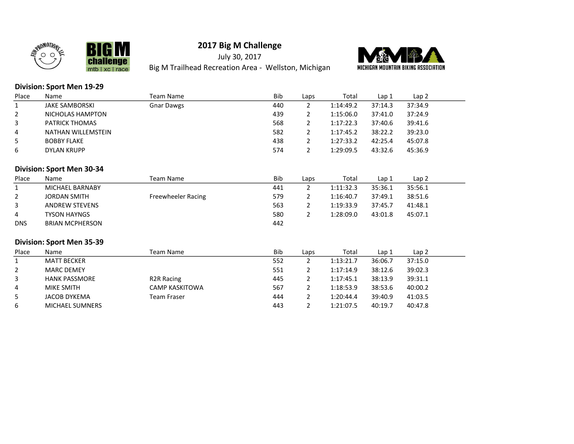



July 30, 2017 Big M Trailhead Recreation Area - Wellston, Michigan



#### Division: Sport Men 19-29

**BIGM** 

mtb | xc | race

**lenge** 

chal

| Place | Name                  | Team Name         | <b>Bib</b> | Laps | Total     | Lap 1   | Lap 2   |  |
|-------|-----------------------|-------------------|------------|------|-----------|---------|---------|--|
|       | <b>JAKE SAMBORSKI</b> | <b>Gnar Dawgs</b> | 440        |      | 1:14:49.2 | 37:14.3 | 37:34.9 |  |
|       | NICHOLAS HAMPTON      |                   | 439        |      | 1:15:06.0 | 37:41.0 | 37:24.9 |  |
|       | <b>PATRICK THOMAS</b> |                   | 568        |      | 1:17:22.3 | 37:40.6 | 39:41.6 |  |
| 4     | NATHAN WILLEMSTEIN    |                   | 582        |      | 1:17:45.2 | 38:22.2 | 39:23.0 |  |
|       | <b>BOBBY FLAKE</b>    |                   | 438        |      | 1:27:33.2 | 42:25.4 | 45:07.8 |  |
| 6     | DYLAN KRUPP           |                   | 574        |      | 1:29:09.5 | 43:32.6 | 45:36.9 |  |

#### Division: Sport Men 30-34

| Place          | Name                | Team Name          | <b>Bib</b> | Laps | Total     | Lap 1   | Lap 2   |
|----------------|---------------------|--------------------|------------|------|-----------|---------|---------|
|                | MICHAEL BARNABY     |                    | 441        |      | 1:11:32.3 | 35:36.1 | 35:56.1 |
|                | <b>JORDAN SMITH</b> | Freewheeler Racing | 579        |      | 1:16:40.7 | 37:49.1 | 38:51.6 |
| 3              | ANDREW STEVENS      |                    | 563        |      | 1:19:33.9 | 37:45.7 | 41:48.1 |
| $\overline{4}$ | <b>TYSON HAYNGS</b> |                    | 580        |      | 1:28:09.0 | 43:01.8 | 45:07.1 |
| <b>DNS</b>     | BRIAN MCPHERSON     |                    | 442        |      |           |         |         |

#### Division: Sport Men 35-39

| Place | Name                   | Team Name         | <b>Bib</b> | Laps | Total     | Lap 1   | Lap <sub>2</sub> |
|-------|------------------------|-------------------|------------|------|-----------|---------|------------------|
|       | MATT BECKER            |                   | 552        |      | 1:13:21.7 | 36:06.7 | 37:15.0          |
|       | <b>MARC DEMEY</b>      |                   | 551        |      | 1:17:14.9 | 38:12.6 | 39:02.3          |
| 3     | <b>HANK PASSMORE</b>   | <b>R2R Racing</b> | 445        |      | 1:17:45.1 | 38:13.9 | 39:31.1          |
| 4     | MIKE SMITH             | CAMP KASKITOWA    | 567        |      | 1:18:53.9 | 38:53.6 | 40:00.2          |
| 5     | JACOB DYKEMA           | Team Fraser       | 444        |      | 1:20:44.4 | 39:40.9 | 41:03.5          |
| 6     | <b>MICHAEL SUMNERS</b> |                   | 443        |      | 1:21:07.5 | 40:19.7 | 40:47.8          |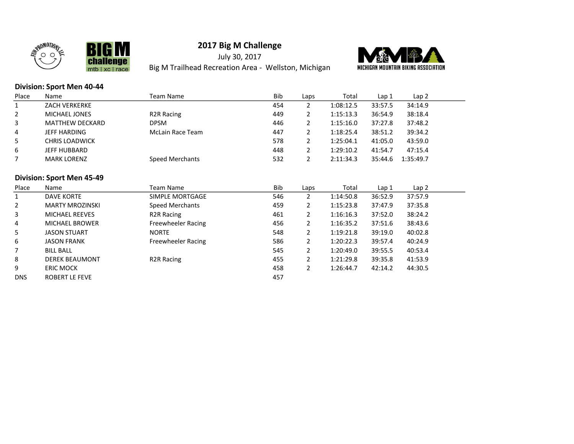



July 30, 2017 Big M Trailhead Recreation Area - Wellston, Michigan



#### Division: Sport Men 40-44

| Place        | Name                      | Team Name                 | <b>Bib</b> | Laps           | Total     | Lap 1   | Lap 2     |
|--------------|---------------------------|---------------------------|------------|----------------|-----------|---------|-----------|
| $\mathbf{1}$ | <b>ZACH VERKERKE</b>      |                           | 454        | $\overline{2}$ | 1:08:12.5 | 33:57.5 | 34:14.9   |
| 2            | MICHAEL JONES             | R <sub>2</sub> R Racing   | 449        | $\overline{2}$ | 1:15:13.3 | 36:54.9 | 38:18.4   |
| 3            | <b>MATTHEW DECKARD</b>    | <b>DPSM</b>               | 446        | $\overline{2}$ | 1:15:16.0 | 37:27.8 | 37:48.2   |
| 4            | <b>JEFF HARDING</b>       | <b>McLain Race Team</b>   | 447        | $\overline{2}$ | 1:18:25.4 | 38:51.2 | 39:34.2   |
| 5            | <b>CHRIS LOADWICK</b>     |                           | 578        | $\overline{2}$ | 1:25:04.1 | 41:05.0 | 43:59.0   |
| 6            | JEFF HUBBARD              |                           | 448        | $\overline{2}$ | 1:29:10.2 | 41:54.7 | 47:15.4   |
|              | <b>MARK LORENZ</b>        | <b>Speed Merchants</b>    | 532        | $\overline{2}$ | 2:11:34.3 | 35:44.6 | 1:35:49.7 |
|              |                           |                           |            |                |           |         |           |
|              | Division: Sport Men 45-49 |                           |            |                |           |         |           |
| Place        | Name                      | <b>Team Name</b>          | Bib        | Laps           | Total     | Lap 1   | Lap 2     |
| $\mathbf{1}$ | <b>DAVE KORTE</b>         | SIMPLE MORTGAGE           | 546        | $\overline{2}$ | 1:14:50.8 | 36:52.9 | 37:57.9   |
| 2            | <b>MARTY MROZINSKI</b>    | Speed Merchants           | 459        | $\overline{2}$ | 1:15:23.8 | 37:47.9 | 37:35.8   |
| 3            | MICHAEL REEVES            | <b>R2R Racing</b>         | 461        | $\overline{2}$ | 1:16:16.3 | 37:52.0 | 38:24.2   |
| 4            | <b>MICHAEL BROWER</b>     | Freewheeler Racing        | 456        | $\overline{2}$ | 1:16:35.2 | 37:51.6 | 38:43.6   |
| 5            | <b>JASON STUART</b>       | <b>NORTE</b>              | 548        | $\overline{2}$ | 1:19:21.8 | 39:19.0 | 40:02.8   |
| 6            | <b>JASON FRANK</b>        | <b>Freewheeler Racing</b> | 586        | 2              | 1:20:22.3 | 39:57.4 | 40:24.9   |
|              | <b>BILL BALL</b>          |                           | 545        | $\overline{2}$ | 1:20:49.0 | 39:55.5 | 40:53.4   |
| 8            | <b>DEREK BEAUMONT</b>     | R <sub>2</sub> R Racing   | 455        | $\overline{2}$ | 1:21:29.8 | 39:35.8 | 41:53.9   |
| 9            | <b>ERIC MOCK</b>          |                           | 458        | $\overline{2}$ | 1:26:44.7 | 42:14.2 | 44:30.5   |
| <b>DNS</b>   | ROBERT LE FEVE            |                           | 457        |                |           |         |           |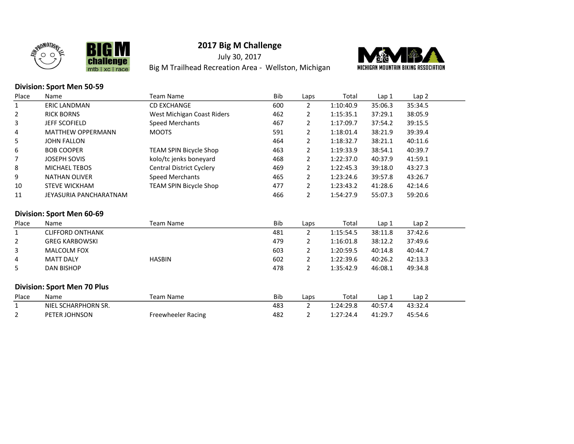



July 30, 2017 Big M Trailhead Recreation Area - Wellston, Michigan



### Division: Sport Men 50-59

| Place          | Name                               | <b>Team Name</b>                | Bib        | Laps           | Total     | Lap 1   | Lap <sub>2</sub> |
|----------------|------------------------------------|---------------------------------|------------|----------------|-----------|---------|------------------|
| 1              | <b>ERIC LANDMAN</b>                | <b>CD EXCHANGE</b>              | 600        | $\overline{2}$ | 1:10:40.9 | 35:06.3 | 35:34.5          |
| 2              | <b>RICK BORNS</b>                  | West Michigan Coast Riders      | 462        | 2              | 1:15:35.1 | 37:29.1 | 38:05.9          |
| 3              | JEFF SCOFIELD                      | <b>Speed Merchants</b>          | 467        | $\overline{2}$ | 1:17:09.7 | 37:54.2 | 39:15.5          |
| 4              | <b>MATTHEW OPPERMANN</b>           | <b>MOOTS</b>                    | 591        | 2              | 1:18:01.4 | 38:21.9 | 39:39.4          |
| 5              | <b>JOHN FALLON</b>                 |                                 | 464        | 2              | 1:18:32.7 | 38:21.1 | 40:11.6          |
| 6              | <b>BOB COOPER</b>                  | TEAM SPIN Bicycle Shop          | 463        | 2              | 1:19:33.9 | 38:54.1 | 40:39.7          |
| 7              | <b>JOSEPH SOVIS</b>                | kolo/tc jenks boneyard          | 468        | 2              | 1:22:37.0 | 40:37.9 | 41:59.1          |
| 8              | <b>MICHAEL TEBOS</b>               | <b>Central District Cyclery</b> | 469        | 2              | 1:22:45.3 | 39:18.0 | 43:27.3          |
| 9              | <b>NATHAN OLIVER</b>               | Speed Merchants                 | 465        | 2              | 1:23:24.6 | 39:57.8 | 43:26.7          |
| 10             | <b>STEVE WICKHAM</b>               | TEAM SPIN Bicycle Shop          | 477        | 2              | 1:23:43.2 | 41:28.6 | 42:14.6          |
| 11             | JEYASURIA PANCHARATNAM             |                                 | 466        | $\mathbf{2}$   | 1:54:27.9 | 55:07.3 | 59:20.6          |
|                | Division: Sport Men 60-69          |                                 |            |                |           |         |                  |
| Place          | Name                               | <b>Team Name</b>                | Bib        | Laps           | Total     | Lap 1   | Lap 2            |
| $\mathbf{1}$   | <b>CLIFFORD ONTHANK</b>            |                                 | 481        | $\overline{2}$ | 1:15:54.5 | 38:11.8 | 37:42.6          |
| 2              | <b>GREG KARBOWSKI</b>              |                                 | 479        | 2              | 1:16:01.8 | 38:12.2 | 37:49.6          |
| 3              | MALCOLM FOX                        |                                 | 603        | 2              | 1:20:59.5 | 40:14.8 | 40:44.7          |
| 4              | <b>MATT DALY</b>                   | <b>HASBIN</b>                   | 602        | $\overline{2}$ | 1:22:39.6 | 40:26.2 | 42:13.3          |
| 5              | <b>DAN BISHOP</b>                  |                                 | 478        | $\overline{2}$ | 1:35:42.9 | 46:08.1 | 49:34.8          |
|                |                                    |                                 |            |                |           |         |                  |
|                | <b>Division: Sport Men 70 Plus</b> |                                 |            |                |           |         |                  |
| Place          | Name                               | <b>Team Name</b>                | <b>Bib</b> | Laps           | Total     | Lap 1   | Lap 2            |
| $\mathbf{1}$   | NIEL SCHARPHORN SR.                |                                 | 483        | $\overline{2}$ | 1:24:29.8 | 40:57.4 | 43:32.4          |
| $\overline{2}$ | PETER JOHNSON                      | Freewheeler Racing              | 482        | 2              | 1:27:24.4 | 41:29.7 | 45:54.6          |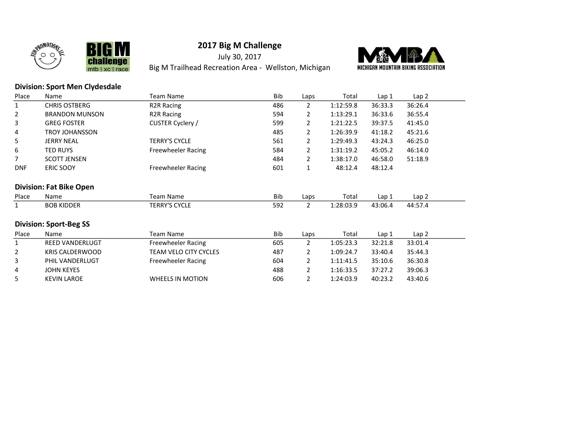



July 30, 2017 Big M Trailhead Recreation Area - Wellston, Michigan



### Division: Sport Men Clydesdale

chal

mtb | xc | race

| Place                          | Name                          | <b>Team Name</b>             | Bib | Laps           | Total     | Lap 1   | Lap <sub>2</sub> |
|--------------------------------|-------------------------------|------------------------------|-----|----------------|-----------|---------|------------------|
| $\mathbf{1}$                   | <b>CHRIS OSTBERG</b>          | R <sub>2</sub> R Racing      | 486 | $\overline{2}$ | 1:12:59.8 | 36:33.3 | 36:26.4          |
| 2                              | <b>BRANDON MUNSON</b>         | R <sub>2</sub> R Racing      | 594 | 2              | 1:13:29.1 | 36:33.6 | 36:55.4          |
| 3                              | <b>GREG FOSTER</b>            | CUSTER Cyclery /             | 599 | 2              | 1:21:22.5 | 39:37.5 | 41:45.0          |
| 4                              | <b>TROY JOHANSSON</b>         |                              | 485 | 2              | 1:26:39.9 | 41:18.2 | 45:21.6          |
| 5                              | <b>JERRY NEAL</b>             | <b>TERRY'S CYCLE</b>         | 561 | 2              | 1:29:49.3 | 43:24.3 | 46:25.0          |
| 6                              | <b>TED RUYS</b>               | <b>Freewheeler Racing</b>    | 584 | 2              | 1:31:19.2 | 45:05.2 | 46:14.0          |
| 7                              | <b>SCOTT JENSEN</b>           |                              | 484 | 2              | 1:38:17.0 | 46:58.0 | 51:18.9          |
| <b>DNF</b>                     | ERIC SOOY                     | <b>Freewheeler Racing</b>    | 601 | 1              | 48:12.4   | 48:12.4 |                  |
|                                |                               |                              |     |                |           |         |                  |
| <b>Division: Fat Bike Open</b> |                               |                              |     |                |           |         |                  |
|                                |                               |                              |     |                |           |         |                  |
| Place                          | Name                          | <b>Team Name</b>             | Bib | Laps           | Total     | Lap 1   | Lap <sub>2</sub> |
| $\mathbf{1}$                   | <b>BOB KIDDER</b>             | <b>TERRY'S CYCLE</b>         | 592 | 2              | 1:28:03.9 | 43:06.4 | 44:57.4          |
|                                |                               |                              |     |                |           |         |                  |
|                                | <b>Division: Sport-Beg SS</b> |                              |     |                |           |         |                  |
| Place                          | Name                          | <b>Team Name</b>             | Bib | Laps           | Total     | Lap 1   | Lap <sub>2</sub> |
| $\mathbf{1}$                   | <b>REED VANDERLUGT</b>        | Freewheeler Racing           | 605 | $\overline{2}$ | 1:05:23.3 | 32:21.8 | 33:01.4          |
| $\overline{2}$                 | <b>KRIS CALDERWOOD</b>        | <b>TEAM VELO CITY CYCLES</b> | 487 | 2              | 1:09:24.7 | 33:40.4 | 35:44.3          |
| 3                              | PHIL VANDERLUGT               | <b>Freewheeler Racing</b>    | 604 | 2              | 1:11:41.5 | 35:10.6 | 36:30.8          |
| 4                              | <b>JOHN KEYES</b>             |                              | 488 | $\overline{2}$ | 1:16:33.5 | 37:27.2 | 39:06.3          |
| 5                              | <b>KEVIN LAROE</b>            | <b>WHEELS IN MOTION</b>      | 606 | 2              | 1:24:03.9 | 40:23.2 | 43:40.6          |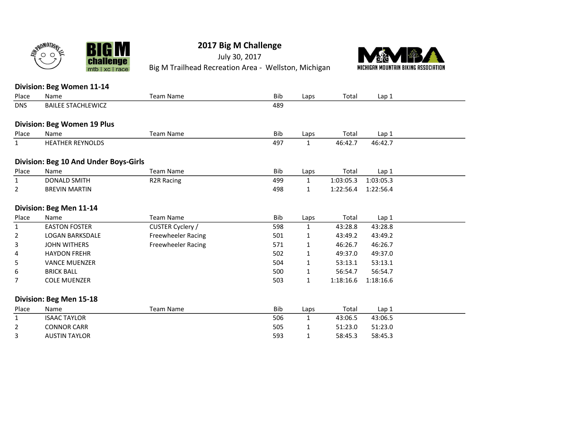

July 30, 2017 Big M Trailhead Recreation Area - Wellston, Michigan



#### Division: Beg Women 11-14

chal

**llenge** 

mtb | xc | race

| Place        | Name                                  | <b>Team Name</b>   | Bib        | Laps         | Total     | Lap 1     |  |
|--------------|---------------------------------------|--------------------|------------|--------------|-----------|-----------|--|
| <b>DNS</b>   | <b>BAILEE STACHLEWICZ</b>             |                    | 489        |              |           |           |  |
|              |                                       |                    |            |              |           |           |  |
|              | <b>Division: Beg Women 19 Plus</b>    |                    |            |              |           |           |  |
| Place        | Name                                  | <b>Team Name</b>   | Bib        | Laps         | Total     | Lap 1     |  |
| $\mathbf{1}$ | <b>HEATHER REYNOLDS</b>               |                    | 497        | $\mathbf{1}$ | 46:42.7   | 46:42.7   |  |
|              | Division: Beg 10 And Under Boys-Girls |                    |            |              |           |           |  |
| Place        | Name                                  | <b>Team Name</b>   | <b>Bib</b> | Laps         | Total     | Lap 1     |  |
| 1            | <b>DONALD SMITH</b>                   | <b>R2R Racing</b>  | 499        | $\mathbf{1}$ | 1:03:05.3 | 1:03:05.3 |  |
| 2            | <b>BREVIN MARTIN</b>                  |                    | 498        | 1            | 1:22:56.4 | 1:22:56.4 |  |
|              | Division: Beg Men 11-14               |                    |            |              |           |           |  |
| Place        | Name                                  | <b>Team Name</b>   | Bib        | Laps         | Total     | Lap 1     |  |
| 1            | <b>EASTON FOSTER</b>                  | CUSTER Cyclery /   | 598        | 1            | 43:28.8   | 43:28.8   |  |
| 2            | <b>LOGAN BARKSDALE</b>                | Freewheeler Racing | 501        | 1            | 43:49.2   | 43:49.2   |  |
| 3            | <b>JOHN WITHERS</b>                   | Freewheeler Racing | 571        | 1            | 46:26.7   | 46:26.7   |  |
| 4            | <b>HAYDON FREHR</b>                   |                    | 502        | 1            | 49:37.0   | 49:37.0   |  |
| 5            | <b>VANCE MUENZER</b>                  |                    | 504        | 1            | 53:13.1   | 53:13.1   |  |
| 6            | <b>BRICK BALL</b>                     |                    | 500        | 1            | 56:54.7   | 56:54.7   |  |
| 7            | <b>COLE MUENZER</b>                   |                    | 503        | $\mathbf{1}$ | 1:18:16.6 | 1:18:16.6 |  |
|              | Division: Beg Men 15-18               |                    |            |              |           |           |  |
| Place        | Name                                  | <b>Team Name</b>   | Bib        | Laps         | Total     | Lap 1     |  |
| 1            | <b>ISAAC TAYLOR</b>                   |                    | 506        | $\mathbf{1}$ | 43:06.5   | 43:06.5   |  |
| 2            | <b>CONNOR CARR</b>                    |                    | 505        | 1            | 51:23.0   | 51:23.0   |  |
| 3            | <b>AUSTIN TAYLOR</b>                  |                    | 593        | 1            | 58:45.3   | 58:45.3   |  |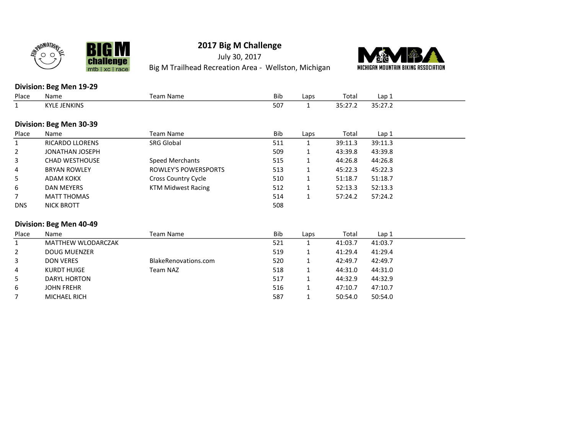



mtb | xc | race

# 2017 Big M Challenge

July 30, 2017 Big M Trailhead Recreation Area - Wellston, Michigan



#### Division: Beg Men 19-29

| Place                   | Name                   | <b>Team Name</b>          | <b>Bib</b> | Laps         | Total   | Lap <sub>1</sub> |  |  |
|-------------------------|------------------------|---------------------------|------------|--------------|---------|------------------|--|--|
|                         | <b>KYLE JENKINS</b>    |                           | 507        | 1            | 35:27.2 | 35:27.2          |  |  |
|                         |                        |                           |            |              |         |                  |  |  |
| Division: Beg Men 30-39 |                        |                           |            |              |         |                  |  |  |
| Place                   | Name                   | Team Name                 | Bib        | Laps         | Total   | Lap <sub>1</sub> |  |  |
|                         | <b>RICARDO LLORENS</b> | <b>SRG Global</b>         | 511        | 1            | 39:11.3 | 39:11.3          |  |  |
| $\overline{2}$          | JONATHAN JOSEPH        |                           | 509        | 1            | 43:39.8 | 43:39.8          |  |  |
| 3                       | <b>CHAD WESTHOUSE</b>  | Speed Merchants           | 515        | 1            | 44:26.8 | 44:26.8          |  |  |
| 4                       | <b>BRYAN ROWLEY</b>    | ROWLEY'S POWERSPORTS      | 513        | $\mathbf{1}$ | 45:22.3 | 45:22.3          |  |  |
| 5                       | ADAM KOKX              | Cross Country Cycle       | 510        | $\mathbf{1}$ | 51:18.7 | 51:18.7          |  |  |
| 6                       | DAN MEYERS             | <b>KTM Midwest Racing</b> | 512        | 1            | 52:13.3 | 52:13.3          |  |  |
|                         | <b>MATT THOMAS</b>     |                           | 514        | 1            | 57:24.2 | 57:24.2          |  |  |
| <b>DNS</b>              | NICK BROTT             |                           | 508        |              |         |                  |  |  |
|                         |                        |                           |            |              |         |                  |  |  |
|                         |                        |                           |            |              |         |                  |  |  |

| Place                 | Name                | Team Name            | <b>Bib</b> | Laps | Total   | Lap 1   |  |
|-----------------------|---------------------|----------------------|------------|------|---------|---------|--|
|                       | MATTHEW WLODARCZAK  |                      | 521        |      | 41:03.7 | 41:03.7 |  |
| $\mathbf{2}^{\prime}$ | DOUG MUENZER        |                      | 519        |      | 41:29.4 | 41:29.4 |  |
| 3                     | DON VERES           | BlakeRenovations.com | 520        |      | 42:49.7 | 42:49.7 |  |
| $\overline{4}$        | KURDT HUIGE         | Team NAZ             | 518        |      | 44:31.0 | 44:31.0 |  |
| 5.                    | DARYL HORTON        |                      | 517        |      | 44:32.9 | 44:32.9 |  |
| 6                     | <b>JOHN FREHR</b>   |                      | 516        |      | 47:10.7 | 47:10.7 |  |
|                       | <b>MICHAEL RICH</b> |                      | 587        |      | 50:54.0 | 50:54.0 |  |